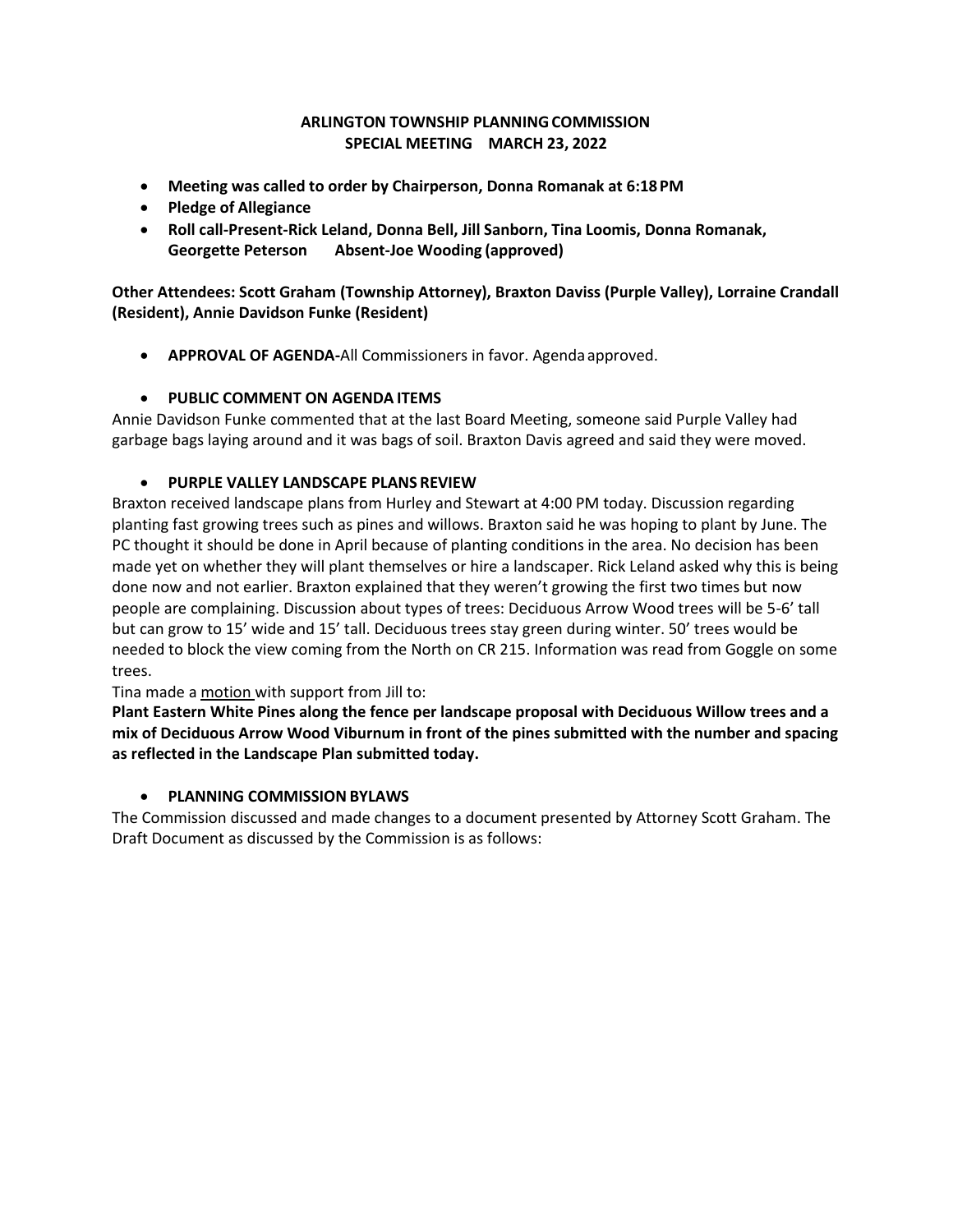### **ARLINGTON TOWNSHIP PLANNINGCOMMISSION SPECIAL MEETING MARCH 23, 2022**

- **Meeting was called to order by Chairperson, Donna Romanak at 6:18PM**
- **Pledge of Allegiance**
- **Roll call-Present-Rick Leland, Donna Bell, Jill Sanborn, Tina Loomis, Donna Romanak, Georgette Peterson Absent-Joe Wooding (approved)**

**Other Attendees: Scott Graham (Township Attorney), Braxton Daviss (Purple Valley), Lorraine Crandall (Resident), Annie Davidson Funke (Resident)**

• **APPROVAL OF AGENDA-**All Commissioners in favor. Agenda approved.

# • **PUBLIC COMMENT ON AGENDA ITEMS**

Annie Davidson Funke commented that at the last Board Meeting, someone said Purple Valley had garbage bags laying around and it was bags of soil. Braxton Davis agreed and said they were moved.

# • **PURPLE VALLEY LANDSCAPE PLANS REVIEW**

Braxton received landscape plans from Hurley and Stewart at 4:00 PM today. Discussion regarding planting fast growing trees such as pines and willows. Braxton said he was hoping to plant by June. The PC thought it should be done in April because of planting conditions in the area. No decision has been made yet on whether they will plant themselves or hire a landscaper. Rick Leland asked why this is being done now and not earlier. Braxton explained that they weren't growing the first two times but now people are complaining. Discussion about types of trees: Deciduous Arrow Wood trees will be 5-6' tall but can grow to 15' wide and 15' tall. Deciduous trees stay green during winter. 50' trees would be needed to block the view coming from the North on CR 215. Information was read from Goggle on some trees.

Tina made a motion with support from Jill to:

**Plant Eastern White Pines along the fence per landscape proposal with Deciduous Willow trees and a mix of Deciduous Arrow Wood Viburnum in front of the pines submitted with the number and spacing as reflected in the Landscape Plan submitted today.**

## **PLANNING COMMISSION BYLAWS**

The Commission discussed and made changes to a document presented by Attorney Scott Graham. The Draft Document as discussed by the Commission is as follows: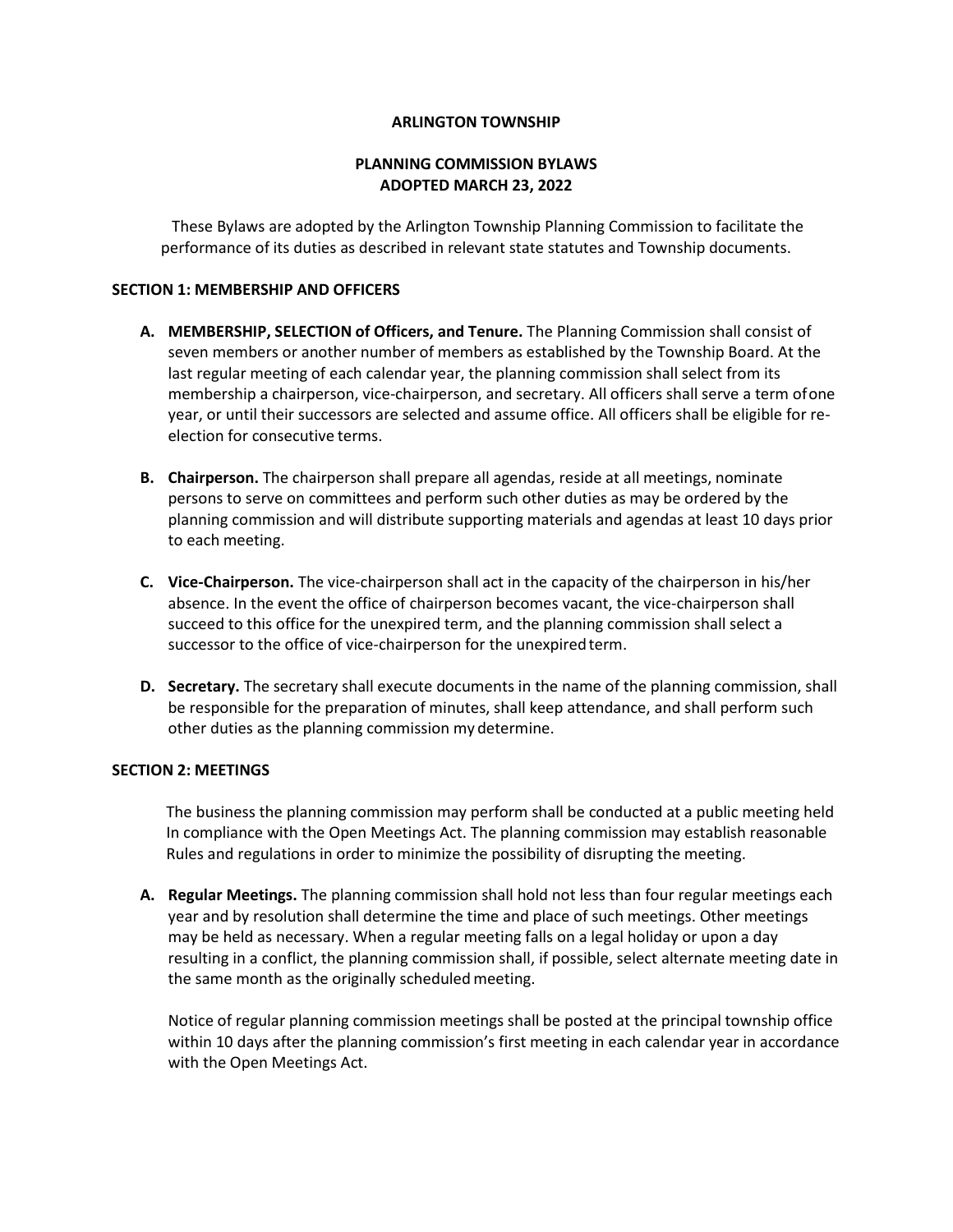### **ARLINGTON TOWNSHIP**

### **PLANNING COMMISSION BYLAWS ADOPTED MARCH 23, 2022**

These Bylaws are adopted by the Arlington Township Planning Commission to facilitate the performance of its duties as described in relevant state statutes and Township documents.

#### **SECTION 1: MEMBERSHIP AND OFFICERS**

- **A. MEMBERSHIP, SELECTION of Officers, and Tenure.** The Planning Commission shall consist of seven members or another number of members as established by the Township Board. At the last regular meeting of each calendar year, the planning commission shall select from its membership a chairperson, vice-chairperson, and secretary. All officers shall serve a term ofone year, or until their successors are selected and assume office. All officers shall be eligible for reelection for consecutive terms.
- **B. Chairperson.** The chairperson shall prepare all agendas, reside at all meetings, nominate persons to serve on committees and perform such other duties as may be ordered by the planning commission and will distribute supporting materials and agendas at least 10 days prior to each meeting.
- **C. Vice-Chairperson.** The vice-chairperson shall act in the capacity of the chairperson in his/her absence. In the event the office of chairperson becomes vacant, the vice-chairperson shall succeed to this office for the unexpired term, and the planning commission shall select a successor to the office of vice-chairperson for the unexpired term.
- **D. Secretary.** The secretary shall execute documents in the name of the planning commission, shall be responsible for the preparation of minutes, shall keep attendance, and shall perform such other duties as the planning commission my determine.

### **SECTION 2: MEETINGS**

The business the planning commission may perform shall be conducted at a public meeting held In compliance with the Open Meetings Act. The planning commission may establish reasonable Rules and regulations in order to minimize the possibility of disrupting the meeting.

**A. Regular Meetings.** The planning commission shall hold not less than four regular meetings each year and by resolution shall determine the time and place of such meetings. Other meetings may be held as necessary. When a regular meeting falls on a legal holiday or upon a day resulting in a conflict, the planning commission shall, if possible, select alternate meeting date in the same month as the originally scheduled meeting.

Notice of regular planning commission meetings shall be posted at the principal township office within 10 days after the planning commission's first meeting in each calendar year in accordance with the Open Meetings Act.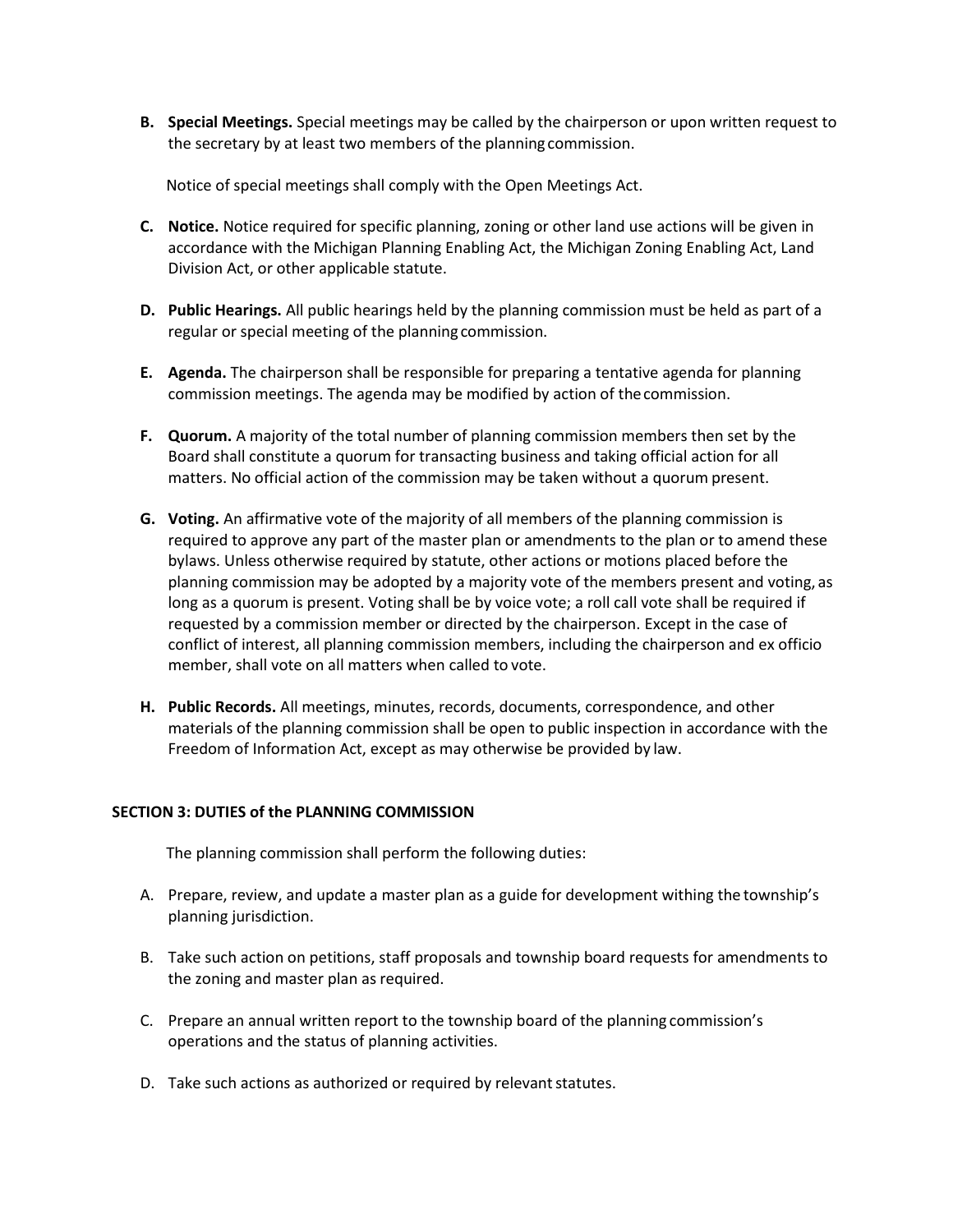**B. Special Meetings.** Special meetings may be called by the chairperson or upon written request to the secretary by at least two members of the planning commission.

Notice of special meetings shall comply with the Open Meetings Act.

- **C. Notice.** Notice required for specific planning, zoning or other land use actions will be given in accordance with the Michigan Planning Enabling Act, the Michigan Zoning Enabling Act, Land Division Act, or other applicable statute.
- **D. Public Hearings.** All public hearings held by the planning commission must be held as part of a regular or special meeting of the planning commission.
- **E. Agenda.** The chairperson shall be responsible for preparing a tentative agenda for planning commission meetings. The agenda may be modified by action of thecommission.
- **F. Quorum.** A majority of the total number of planning commission members then set by the Board shall constitute a quorum for transacting business and taking official action for all matters. No official action of the commission may be taken without a quorum present.
- **G. Voting.** An affirmative vote of the majority of all members of the planning commission is required to approve any part of the master plan or amendments to the plan or to amend these bylaws. Unless otherwise required by statute, other actions or motions placed before the planning commission may be adopted by a majority vote of the members present and voting, as long as a quorum is present. Voting shall be by voice vote; a roll call vote shall be required if requested by a commission member or directed by the chairperson. Except in the case of conflict of interest, all planning commission members, including the chairperson and ex officio member, shall vote on all matters when called to vote.
- **H. Public Records.** All meetings, minutes, records, documents, correspondence, and other materials of the planning commission shall be open to public inspection in accordance with the Freedom of Information Act, except as may otherwise be provided by law.

### **SECTION 3: DUTIES of the PLANNING COMMISSION**

The planning commission shall perform the following duties:

- A. Prepare, review, and update a master plan as a guide for development withing the township's planning jurisdiction.
- B. Take such action on petitions, staff proposals and township board requests for amendments to the zoning and master plan as required.
- C. Prepare an annual written report to the township board of the planning commission's operations and the status of planning activities.
- D. Take such actions as authorized or required by relevant statutes.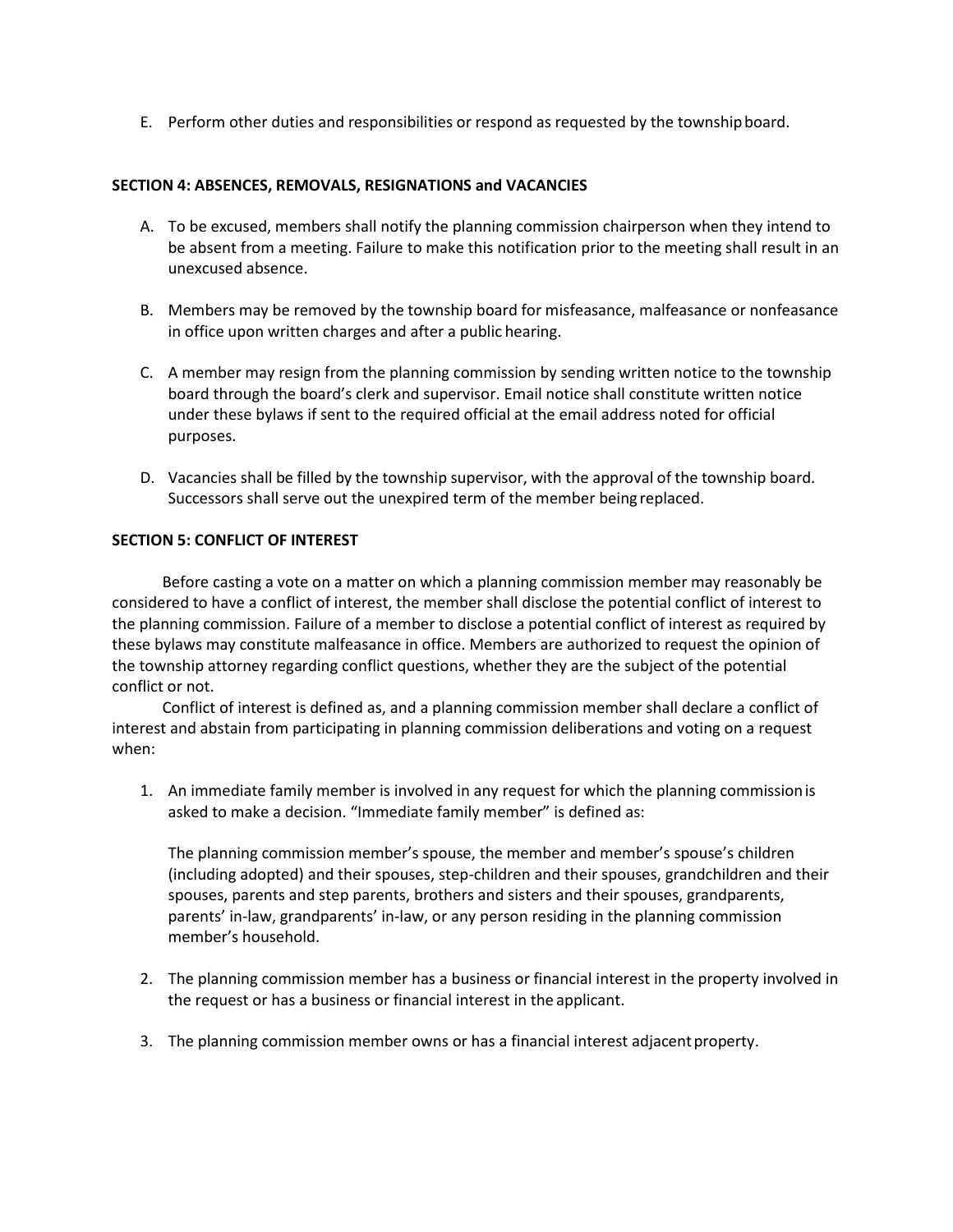E. Perform other duties and responsibilities or respond as requested by the townshipboard.

#### **SECTION 4: ABSENCES, REMOVALS, RESIGNATIONS and VACANCIES**

- A. To be excused, members shall notify the planning commission chairperson when they intend to be absent from a meeting. Failure to make this notification prior to the meeting shall result in an unexcused absence.
- B. Members may be removed by the township board for misfeasance, malfeasance or nonfeasance in office upon written charges and after a public hearing.
- C. A member may resign from the planning commission by sending written notice to the township board through the board's clerk and supervisor. Email notice shall constitute written notice under these bylaws if sent to the required official at the email address noted for official purposes.
- D. Vacancies shall be filled by the township supervisor, with the approval of the township board. Successors shall serve out the unexpired term of the member being replaced.

### **SECTION 5: CONFLICT OF INTEREST**

Before casting a vote on a matter on which a planning commission member may reasonably be considered to have a conflict of interest, the member shall disclose the potential conflict of interest to the planning commission. Failure of a member to disclose a potential conflict of interest as required by these bylaws may constitute malfeasance in office. Members are authorized to request the opinion of the township attorney regarding conflict questions, whether they are the subject of the potential conflict or not.

Conflict of interest is defined as, and a planning commission member shall declare a conflict of interest and abstain from participating in planning commission deliberations and voting on a request when:

1. An immediate family member is involved in any request for which the planning commissionis asked to make a decision. "Immediate family member" is defined as:

The planning commission member's spouse, the member and member's spouse's children (including adopted) and their spouses, step-children and their spouses, grandchildren and their spouses, parents and step parents, brothers and sisters and their spouses, grandparents, parents' in-law, grandparents' in-law, or any person residing in the planning commission member's household.

- 2. The planning commission member has a business or financial interest in the property involved in the request or has a business or financial interest in the applicant.
- 3. The planning commission member owns or has a financial interest adjacentproperty.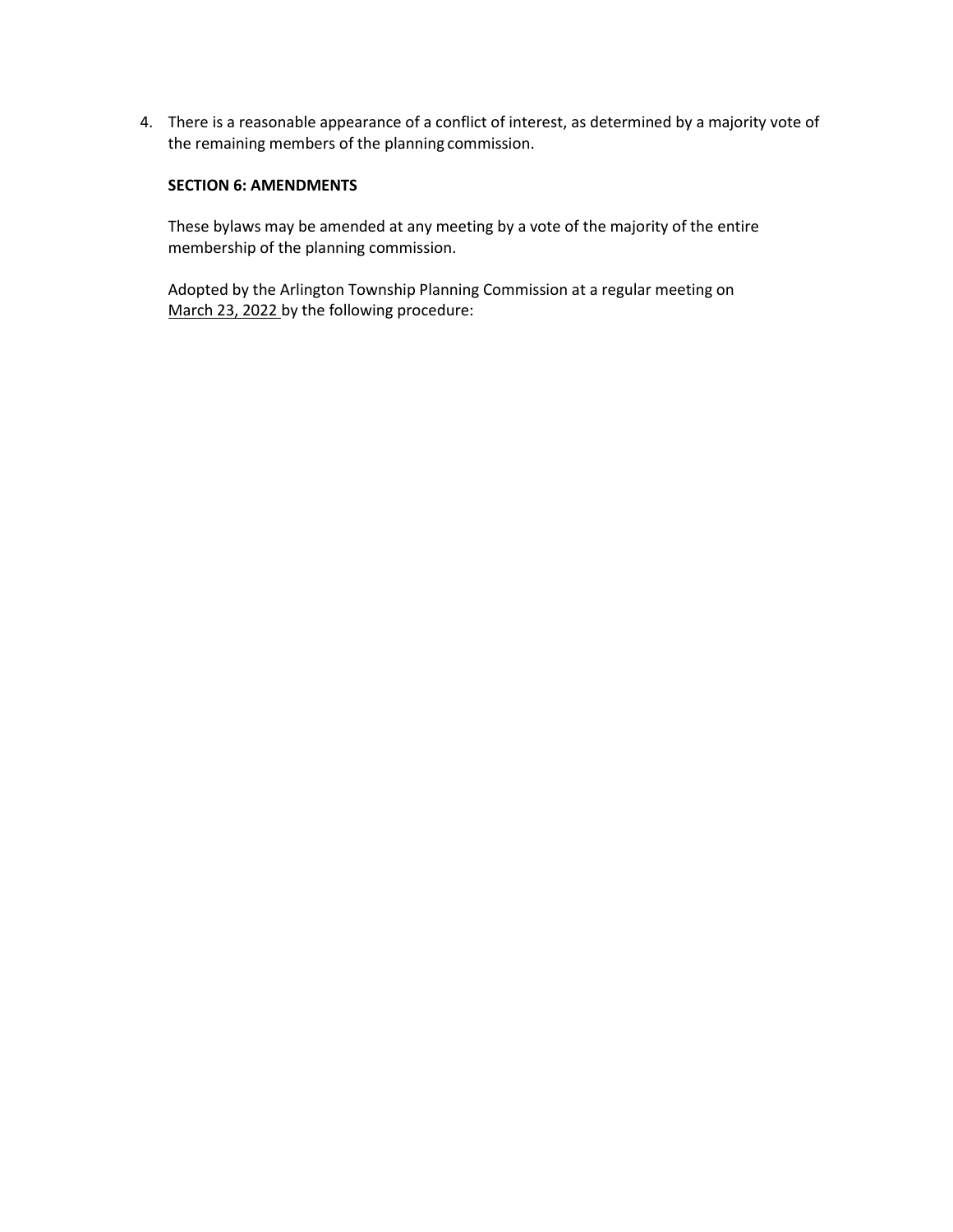4. There is a reasonable appearance of a conflict of interest, as determined by a majority vote of the remaining members of the planning commission.

#### **SECTION 6: AMENDMENTS**

These bylaws may be amended at any meeting by a vote of the majority of the entire membership of the planning commission.

Adopted by the Arlington Township Planning Commission at a regular meeting on March 23, 2022 by the following procedure: